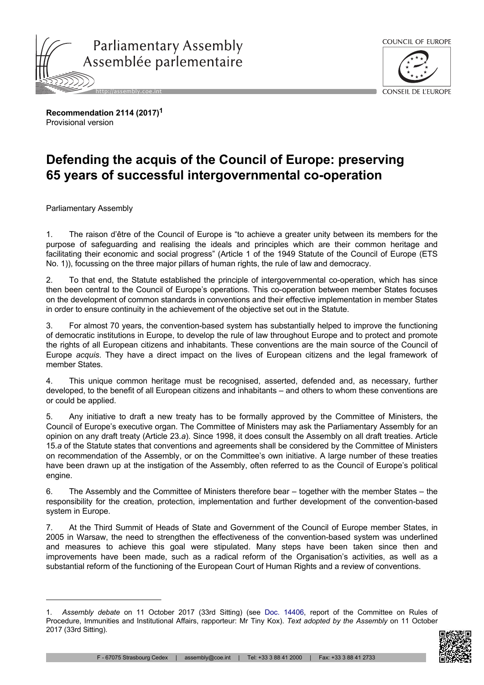



**Recommendation 2114 (2017)<sup>1</sup>** Provisional version

## **Defending the acquis of the Council of Europe: preserving 65 years of successful intergovernmental co-operation**

Parliamentary Assembly

1. The raison d'être of the Council of Europe is "to achieve a greater unity between its members for the purpose of safeguarding and realising the ideals and principles which are their common heritage and facilitating their economic and social progress" (Article 1 of the 1949 Statute of the Council of Europe (ETS No. 1)), focussing on the three major pillars of human rights, the rule of law and democracy.

2. To that end, the Statute established the principle of intergovernmental co-operation, which has since then been central to the Council of Europe's operations. This co-operation between member States focuses on the development of common standards in conventions and their effective implementation in member States in order to ensure continuity in the achievement of the objective set out in the Statute.

3. For almost 70 years, the convention-based system has substantially helped to improve the functioning of democratic institutions in Europe, to develop the rule of law throughout Europe and to protect and promote the rights of all European citizens and inhabitants. These conventions are the main source of the Council of Europe *acquis*. They have a direct impact on the lives of European citizens and the legal framework of member States.

4. This unique common heritage must be recognised, asserted, defended and, as necessary, further developed, to the benefit of all European citizens and inhabitants – and others to whom these conventions are or could be applied.

5. Any initiative to draft a new treaty has to be formally approved by the Committee of Ministers, the Council of Europe's executive organ. The Committee of Ministers may ask the Parliamentary Assembly for an opinion on any draft treaty (Article 23.*a*). Since 1998, it does consult the Assembly on all draft treaties. Article 15.*a* of the Statute states that conventions and agreements shall be considered by the Committee of Ministers on recommendation of the Assembly, or on the Committee's own initiative. A large number of these treaties have been drawn up at the instigation of the Assembly, often referred to as the Council of Europe's political engine.

6. The Assembly and the Committee of Ministers therefore bear – together with the member States – the responsibility for the creation, protection, implementation and further development of the convention-based system in Europe.

7. At the Third Summit of Heads of State and Government of the Council of Europe member States, in 2005 in Warsaw, the need to strengthen the effectiveness of the convention-based system was underlined and measures to achieve this goal were stipulated. Many steps have been taken since then and improvements have been made, such as a radical reform of the Organisation's activities, as well as a substantial reform of the functioning of the European Court of Human Rights and a review of conventions.

<sup>1.</sup> *Assembly debate* on 11 October 2017 (33rd Sitting) (see Doc. [14406,](http://assembly.coe.int/nw/xml/XRef/Xref-DocDetails-en.asp?FileId=24033) report of the Committee on Rules of Procedure, Immunities and Institutional Affairs, rapporteur: Mr Tiny Kox). *Text adopted by the Assembly* on 11 October 2017 (33rd Sitting).

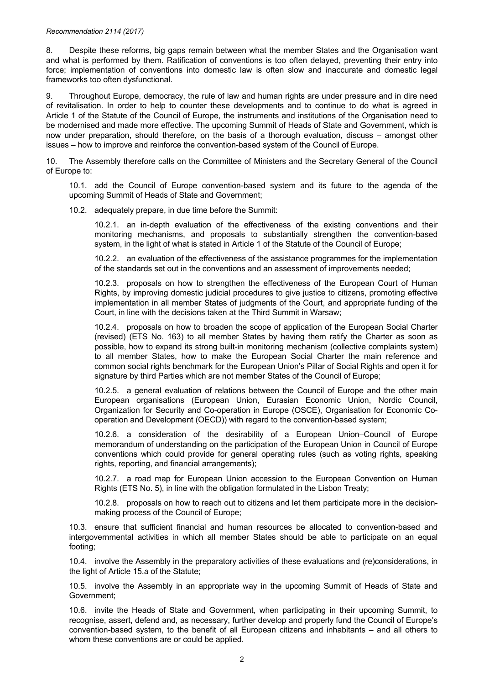## *Recommendation 2114 (2017)*

8. Despite these reforms, big gaps remain between what the member States and the Organisation want and what is performed by them. Ratification of conventions is too often delayed, preventing their entry into force; implementation of conventions into domestic law is often slow and inaccurate and domestic legal frameworks too often dysfunctional.

9. Throughout Europe, democracy, the rule of law and human rights are under pressure and in dire need of revitalisation. In order to help to counter these developments and to continue to do what is agreed in Article 1 of the Statute of the Council of Europe, the instruments and institutions of the Organisation need to be modernised and made more effective. The upcoming Summit of Heads of State and Government, which is now under preparation, should therefore, on the basis of a thorough evaluation, discuss – amongst other issues – how to improve and reinforce the convention-based system of the Council of Europe.

10. The Assembly therefore calls on the Committee of Ministers and the Secretary General of the Council of Europe to:

10.1. add the Council of Europe convention-based system and its future to the agenda of the upcoming Summit of Heads of State and Government;

10.2. adequately prepare, in due time before the Summit:

10.2.1. an in-depth evaluation of the effectiveness of the existing conventions and their monitoring mechanisms, and proposals to substantially strengthen the convention-based system, in the light of what is stated in Article 1 of the Statute of the Council of Europe;

10.2.2. an evaluation of the effectiveness of the assistance programmes for the implementation of the standards set out in the conventions and an assessment of improvements needed;

10.2.3. proposals on how to strengthen the effectiveness of the European Court of Human Rights, by improving domestic judicial procedures to give justice to citizens, promoting effective implementation in all member States of judgments of the Court, and appropriate funding of the Court, in line with the decisions taken at the Third Summit in Warsaw;

10.2.4. proposals on how to broaden the scope of application of the European Social Charter (revised) (ETS No. 163) to all member States by having them ratify the Charter as soon as possible, how to expand its strong built-in monitoring mechanism (collective complaints system) to all member States, how to make the European Social Charter the main reference and common social rights benchmark for the European Union's Pillar of Social Rights and open it for signature by third Parties which are not member States of the Council of Europe;

10.2.5. a general evaluation of relations between the Council of Europe and the other main European organisations (European Union, Eurasian Economic Union, Nordic Council, Organization for Security and Co-operation in Europe (OSCE), Organisation for Economic Cooperation and Development (OECD)) with regard to the convention-based system;

10.2.6. a consideration of the desirability of a European Union–Council of Europe memorandum of understanding on the participation of the European Union in Council of Europe conventions which could provide for general operating rules (such as voting rights, speaking rights, reporting, and financial arrangements);

10.2.7. a road map for European Union accession to the European Convention on Human Rights (ETS No. 5), in line with the obligation formulated in the Lisbon Treaty;

10.2.8. proposals on how to reach out to citizens and let them participate more in the decisionmaking process of the Council of Europe;

10.3. ensure that sufficient financial and human resources be allocated to convention-based and intergovernmental activities in which all member States should be able to participate on an equal footing;

10.4. involve the Assembly in the preparatory activities of these evaluations and (re)considerations, in the light of Article 15.*a* of the Statute;

10.5. involve the Assembly in an appropriate way in the upcoming Summit of Heads of State and Government;

10.6. invite the Heads of State and Government, when participating in their upcoming Summit, to recognise, assert, defend and, as necessary, further develop and properly fund the Council of Europe's convention-based system, to the benefit of all European citizens and inhabitants – and all others to whom these conventions are or could be applied.